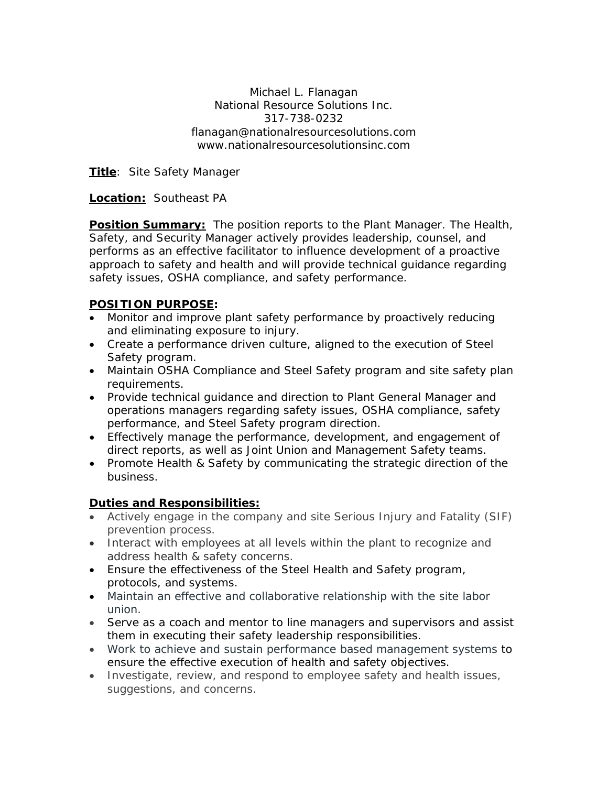Michael L. Flanagan National Resource Solutions Inc. 317-738-0232 flanagan@nationalresourcesolutions.com www.nationalresourcesolutionsinc.com

**Title**: Site Safety Manager

## **Location:** Southeast PA

**Position Summary:** The position reports to the Plant Manager. The Health, Safety, and Security Manager actively provides leadership, counsel, and performs as an effective facilitator to influence development of a proactive approach to safety and health and will provide technical guidance regarding safety issues, OSHA compliance, and safety performance.

## **POSITION PURPOSE:**

- Monitor and improve plant safety performance by proactively reducing and eliminating exposure to injury.
- Create a performance driven culture, aligned to the execution of Steel Safety program.
- Maintain OSHA Compliance and Steel Safety program and site safety plan requirements.
- Provide technical guidance and direction to Plant General Manager and operations managers regarding safety issues, OSHA compliance, safety performance, and Steel Safety program direction.
- Effectively manage the performance, development, and engagement of direct reports, as well as Joint Union and Management Safety teams.
- Promote Health & Safety by communicating the strategic direction of the business.

## **Duties and Responsibilities:**

- Actively engage in the company and site Serious Injury and Fatality (SIF) prevention process.
- Interact with employees at all levels within the plant to recognize and address health & safety concerns.
- Ensure the effectiveness of the Steel Health and Safety program, protocols, and systems.
- Maintain an effective and collaborative relationship with the site labor union.
- Serve as a coach and mentor to line managers and supervisors and assist them in executing their safety leadership responsibilities.
- Work to achieve and sustain performance based management systems to ensure the effective execution of health and safety objectives.
- Investigate, review, and respond to employee safety and health issues, suggestions, and concerns.